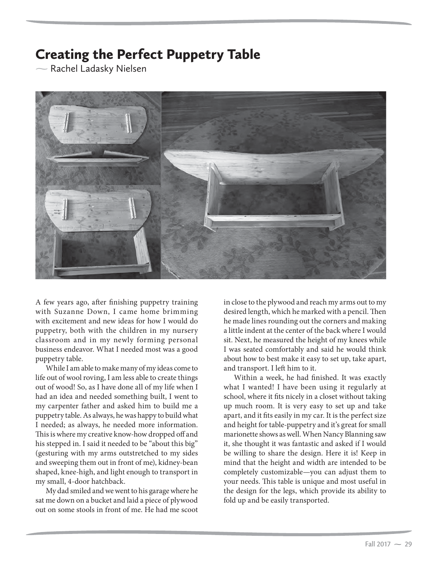## Creating the Perfect Puppetry Table

- Rachel Ladasky Nielsen



A few years ago, after finishing puppetry training with Suzanne Down, I came home brimming with excitement and new ideas for how I would do puppetry, both with the children in my nursery classroom and in my newly forming personal business endeavor. What I needed most was a good puppetry table.

While I am able to make many of my ideas come to life out of wool roving, I am less able to create things out of wood! So, as I have done all of my life when I had an idea and needed something built, I went to my carpenter father and asked him to build me a puppetry table. As always, he was happy to build what I needed; as always, he needed more information. This is where my creative know-how dropped off and his stepped in. I said it needed to be "about this big" (gesturing with my arms outstretched to my sides and sweeping them out in front of me), kidney-bean shaped, knee-high, and light enough to transport in my small, 4-door hatchback.

My dad smiled and we went to his garage where he sat me down on a bucket and laid a piece of plywood out on some stools in front of me. He had me scoot in close to the plywood and reach my arms out to my desired length, which he marked with a pencil. Then he made lines rounding out the corners and making a little indent at the center of the back where I would sit. Next, he measured the height of my knees while I was seated comfortably and said he would think about how to best make it easy to set up, take apart, and transport. I left him to it.

Within a week, he had finished. It was exactly what I wanted! I have been using it regularly at school, where it fits nicely in a closet without taking up much room. It is very easy to set up and take apart, and it fits easily in my car. It is the perfect size and height for table-puppetry and it's great for small marionette shows as well. When Nancy Blanning saw it, she thought it was fantastic and asked if I would be willing to share the design. Here it is! Keep in mind that the height and width are intended to be completely customizable—you can adjust them to your needs. This table is unique and most useful in the design for the legs, which provide its ability to fold up and be easily transported.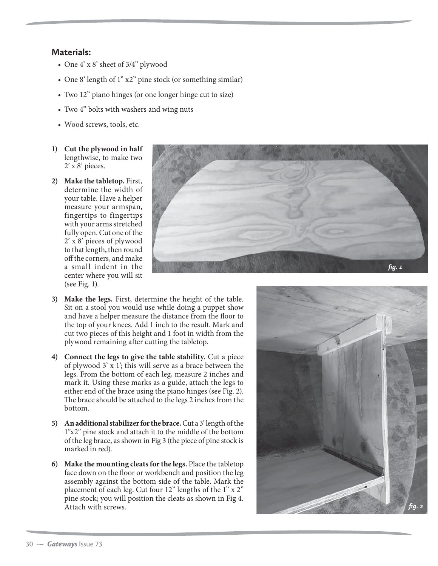## **Materials:**

- One 4' x 8' sheet of 3/4" plywood
- One 8' length of 1" x2" pine stock (or something similar)
- Two 12" piano hinges (or one longer hinge cut to size)
- Two 4" bolts with washers and wing nuts
- Wood screws, tools, etc.
- **1) Cut the plywood in half** lengthwise, to make two 2' x 8' pieces.
- **2) Make the tabletop.** First, determine the width of your table. Have a helper measure your armspan, fingertips to fingertips with your arms stretched fully open. Cut one of the 2' x 8' pieces of plywood to that length, then round off the corners, and make a small indent in the center where you will sit (see Fig. 1).



- **3) Make the legs.** First, determine the height of the table. Sit on a stool you would use while doing a puppet show and have a helper measure the distance from the floor to the top of your knees. Add 1 inch to the result. Mark and cut two pieces of this height and 1 foot in width from the plywood remaining after cutting the tabletop.
- **4) Connect the legs to give the table stability.** Cut a piece of plywood 3' x 1'; this will serve as a brace between the legs. From the bottom of each leg, measure 2 inches and mark it. Using these marks as a guide, attach the legs to either end of the brace using the piano hinges (see Fig. 2). The brace should be attached to the legs 2 inches from the bottom.
- **5) An additional stabilizer for the brace.** Cut a 3' length of the 1"x2" pine stock and attach it to the middle of the bottom of the leg brace, as shown in Fig 3 (the piece of pine stock is marked in red).
- **6) Make the mounting cleats for the legs.** Place the tabletop face down on the floor or workbench and position the leg assembly against the bottom side of the table. Mark the placement of each leg. Cut four 12" lengths of the 1" x 2" pine stock; you will position the cleats as shown in Fig 4. Attach with screws.